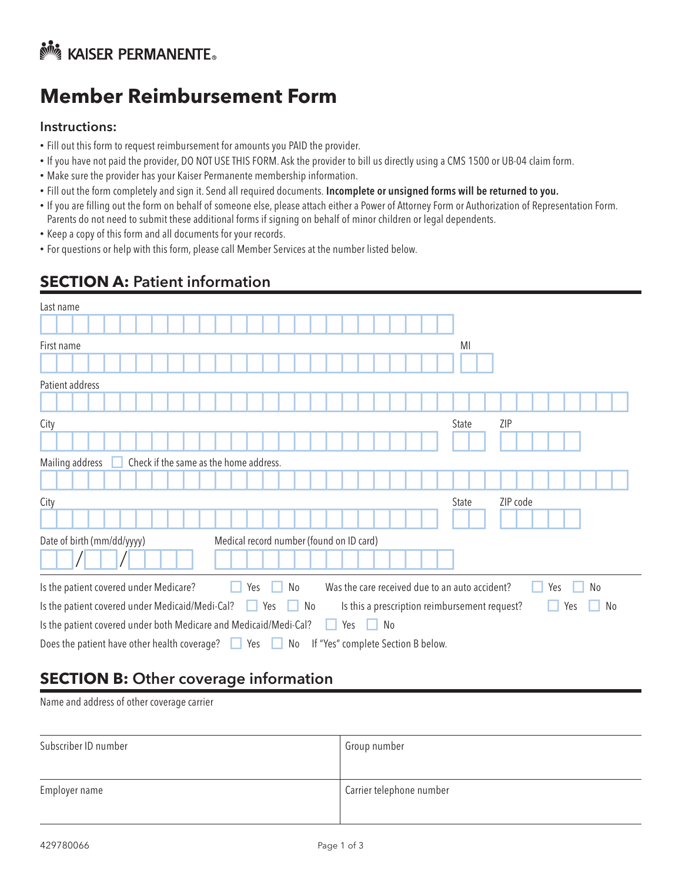# **No KAISER PERMANENTE**

## **Member Reimbursement Form**

#### Instructions:

- Fill out this form to request reimbursement for amounts you PAID the provider.
- If you have not paid the provider, DO NOT USE THIS FORM. Ask the provider to bill us directly using a CMS 1500 or UB-04 claim form.
- Make sure the provider has your Kaiser Permanente membership information.
- Fill out the form completely and sign it. Send all required documents. Incomplete or unsigned forms will be returned to you.
- If you are filling out the form on behalf of someone else, please attach either a Power of Attorney Form or Authorization of Representation Form. Parents do not need to submit these additional forms if signing on behalf of minor children or legal dependents.
- Keep a copy of this form and all documents for your records.
- For questions or help with this form, please call Member Services at the number listed below.

## **SECTION A:** Patient information

| Last name                                                                                                            |                       |  |  |
|----------------------------------------------------------------------------------------------------------------------|-----------------------|--|--|
|                                                                                                                      |                       |  |  |
| First name                                                                                                           | MI                    |  |  |
|                                                                                                                      |                       |  |  |
| Patient address                                                                                                      |                       |  |  |
|                                                                                                                      |                       |  |  |
| City                                                                                                                 | ZIP<br>State          |  |  |
|                                                                                                                      |                       |  |  |
| Check if the same as the home address.<br>Mailing address                                                            |                       |  |  |
|                                                                                                                      |                       |  |  |
| City                                                                                                                 | ZIP code<br>State     |  |  |
|                                                                                                                      |                       |  |  |
| Date of birth (mm/dd/yyyy)<br>Medical record number (found on ID card)                                               |                       |  |  |
|                                                                                                                      |                       |  |  |
| Is the patient covered under Medicare?<br>Was the care received due to an auto accident?<br>No<br>Yes                | N <sub>0</sub><br>Yes |  |  |
| Is the patient covered under Medicaid/Medi-Cal?<br>Is this a prescription reimbursement request?<br>Yes<br>No<br>. . | No<br>Yes             |  |  |
| No<br>Is the patient covered under both Medicare and Medicaid/Medi-Cal?<br>Yes                                       |                       |  |  |
| Does the patient have other health coverage?<br>If "Yes" complete Section B below.<br>Yes<br>No<br>$\cup$            |                       |  |  |

## **SECTION B:** Other coverage information

Name and address of other coverage carrier

| Subscriber ID number | Group number             |
|----------------------|--------------------------|
|                      |                          |
| Employer name        | Carrier telephone number |
|                      |                          |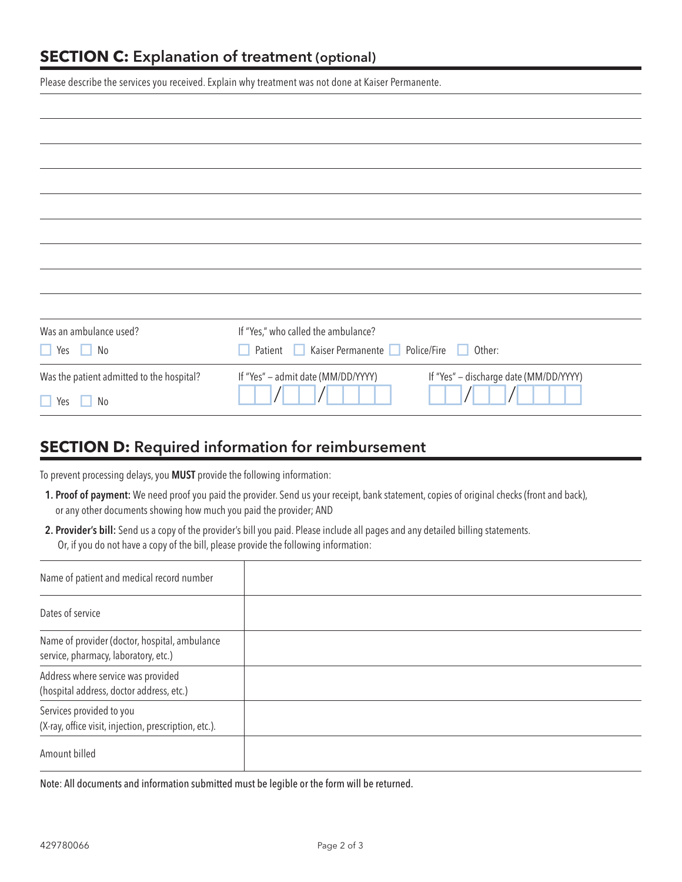Please describe the services you received. Explain why treatment was not done at Kaiser Permanente.

| Was an ambulance used?                    | If "Yes," who called the ambulance?                                          |
|-------------------------------------------|------------------------------------------------------------------------------|
| $\Box$ Yes $\Box$ No                      | Kaiser Permanente<br>Police/Fire<br>Other:<br>Patient<br>H                   |
| Was the patient admitted to the hospital? | If "Yes" - discharge date (MM/DD/YYYY)<br>If "Yes" - admit date (MM/DD/YYYY) |
| $\Box$ Yes<br>No                          |                                                                              |
|                                           |                                                                              |

### **SECTION D:** Required information for reimbursement

To prevent processing delays, you MUST provide the following information:

- 1. Proof of payment: We need proof you paid the provider. Send us your receipt, bank statement, copies of original checks (front and back), or any other documents showing how much you paid the provider; AND
- 2. Provider's bill: Send us a copy of the provider's bill you paid. Please include all pages and any detailed billing statements. Or, if you do not have a copy of the bill, please provide the following information:

| Name of patient and medical record number                                             |  |
|---------------------------------------------------------------------------------------|--|
| Dates of service                                                                      |  |
| Name of provider (doctor, hospital, ambulance<br>service, pharmacy, laboratory, etc.) |  |
| Address where service was provided<br>(hospital address, doctor address, etc.)        |  |
| Services provided to you<br>(X-ray, office visit, injection, prescription, etc.).     |  |
| Amount billed                                                                         |  |

Note: All documents and information submitted must be legible or the form will be returned.